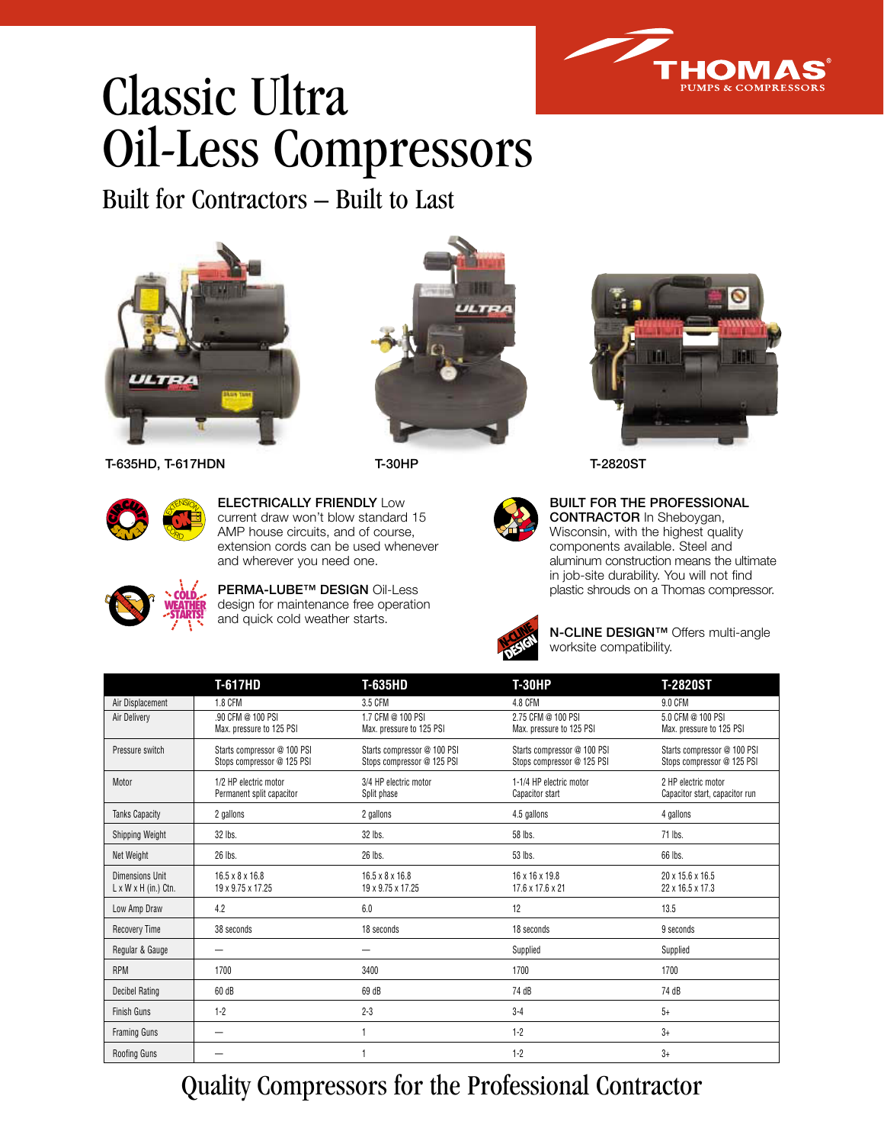

## Classic Ultra Oil-Less Compressors

Built for Contractors – Built to Last











**ELECTRICALLY FRIENDLY** Low current draw won't blow standard 15 AMP house circuits, and of course, extension cords can be used whenever and wherever you need one.



**PERMA-LUBE™ DESIGN** Oil-Less design for maintenance free operation and quick cold weather starts.



**BUILT FOR THE PROFESSIONAL CONTRACTOR** In Sheboygan, Wisconsin, with the highest quality components available. Steel and aluminum construction means the ultimate in job-site durability. You will not find plastic shrouds on a Thomas compressor.



**N-CLINE DESIGN™** Offers multi-angle worksite compatibility.

|                                                     | <b>T-617HD</b>                                            | T-635HD                                                   | <b>T-30HP</b>                                             | <b>T-2820ST</b>                                           |
|-----------------------------------------------------|-----------------------------------------------------------|-----------------------------------------------------------|-----------------------------------------------------------|-----------------------------------------------------------|
| Air Displacement                                    | 1.8 CFM                                                   | 3.5 CFM                                                   | 4.8 CFM                                                   | <b>9.0 CFM</b>                                            |
| Air Delivery                                        | .90 CFM @ 100 PSI<br>Max. pressure to 125 PSI             | 1.7 CFM @ 100 PSI<br>Max. pressure to 125 PSI             | 2.75 CFM @ 100 PSI<br>Max. pressure to 125 PSI            | 5.0 CFM @ 100 PSI<br>Max. pressure to 125 PSI             |
| Pressure switch                                     | Starts compressor @ 100 PSI<br>Stops compressor @ 125 PSI | Starts compressor @ 100 PSI<br>Stops compressor @ 125 PSI | Starts compressor @ 100 PSI<br>Stops compressor @ 125 PSI | Starts compressor @ 100 PSI<br>Stops compressor @ 125 PSI |
| Motor                                               | 1/2 HP electric motor<br>Permanent split capacitor        | 3/4 HP electric motor<br>Split phase                      | 1-1/4 HP electric motor<br>Capacitor start                | 2 HP electric motor<br>Capacitor start, capacitor run     |
| <b>Tanks Capacity</b>                               | 2 gallons                                                 | 2 gallons                                                 | 4.5 gallons                                               | 4 gallons                                                 |
| Shipping Weight                                     | 32 lbs.                                                   | 32 lbs.                                                   | 58 lbs.                                                   | 71 lbs.                                                   |
| Net Weight                                          | 26 lbs.                                                   | 26 lbs.                                                   | 53 lbs.                                                   | 66 lbs.                                                   |
| Dimensions Unit<br>$L \times W \times H$ (in.) Ctn. | $16.5 \times 8 \times 16.8$<br>19 x 9.75 x 17.25          | $16.5 \times 8 \times 16.8$<br>19 x 9.75 x 17.25          | 16 x 16 x 19.8<br>17.6 x 17.6 x 21                        | 20 x 15.6 x 16.5<br>22 x 16.5 x 17.3                      |
| Low Amp Draw                                        | 4.2                                                       | 6.0                                                       | 12                                                        | 13.5                                                      |
| <b>Recovery Time</b>                                | 38 seconds                                                | 18 seconds                                                | 18 seconds                                                | 9 seconds                                                 |
| Regular & Gauge                                     |                                                           |                                                           | Supplied                                                  | Supplied                                                  |
| <b>RPM</b>                                          | 1700                                                      | 3400                                                      | 1700                                                      | 1700                                                      |
| Decibel Rating                                      | 60 dB                                                     | 69 dB                                                     | 74 dB                                                     | 74 dB                                                     |
| Finish Guns                                         | $1 - 2$                                                   | $2 - 3$                                                   | $3 - 4$                                                   | $5+$                                                      |
| <b>Framing Guns</b>                                 |                                                           | 1                                                         | $1 - 2$                                                   | $3+$                                                      |
| <b>Roofing Guns</b>                                 |                                                           |                                                           | $1 - 2$                                                   | $3+$                                                      |

## Quality Compressors for the Professional Contractor